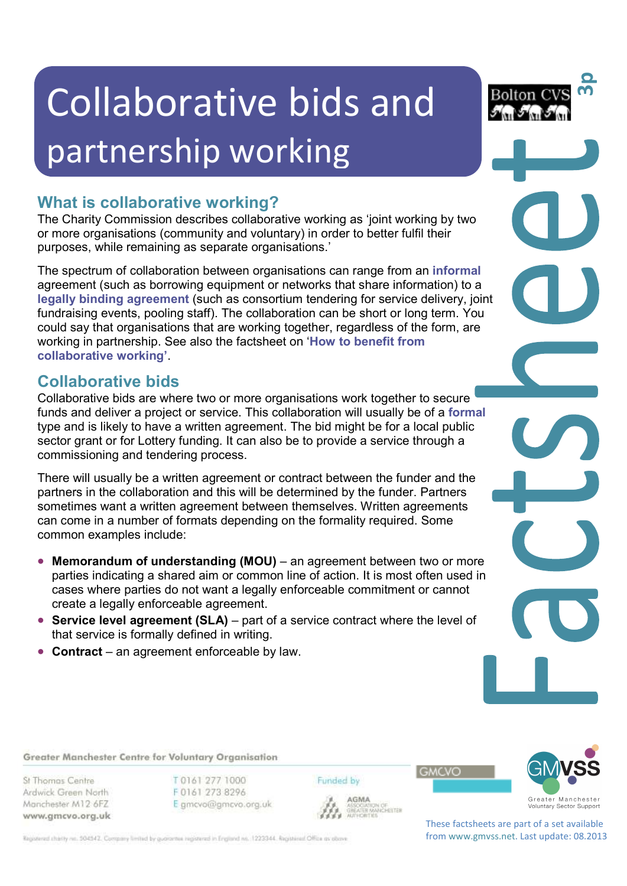# Collaborative bids and partnership working

# **What is collaborative working?**

The Charity Commission describes collaborative working as 'joint working by two or more organisations (community and voluntary) in order to better fulfil their purposes, while remaining as separate organisations.'

The spectrum of collaboration between organisations can range from an **informal** agreement (such as borrowing equipment or networks that share information) to a **legally binding agreement** (such as consortium tendering for service delivery, joint fundraising events, pooling staff). The collaboration can be short or long term. You could say that organisations that are working together, regardless of the form, are working in partnership. See also the factsheet on '**How to benefit from collaborative working'**.

# **Collaborative bids**

Collaborative bids are where two or more organisations work together to secure funds and deliver a project or service. This collaboration will usually be of a **formal** type and is likely to have a written agreement. The bid might be for a local public sector grant or for Lottery funding. It can also be to provide a service through a commissioning and tendering process.

There will usually be a written agreement or contract between the funder and the partners in the collaboration and this will be determined by the funder. Partners sometimes want a written agreement between themselves. Written agreements can come in a number of formats depending on the formality required. Some common examples include:

- Memorandum of understanding (MOU) an agreement between two or more parties indicating a shared aim or common line of action. It is most often used in cases where parties do not want a legally enforceable commitment or cannot create a legally enforceable agreement.
- **Service level agreement (SLA)** part of a service contract where the level of that service is formally defined in writing.
- **Contract** an agreement enforceable by law.



St Thomas Centre Ardwick Green North Manchester M12 6FZ www.gmcvo.org.uk T0161 277 1000 F0161 273 8296 E gmcvo@gmcvo.org.uk Funded by





**3p**

Bolton CV

AGMA **AGMA**<br>ASSOCIATION OF<br>GREATER MANCHESTER<br>AUTHORITIES



These factsheets are part of a set available from www.gmvss.net. Last update: 08.2013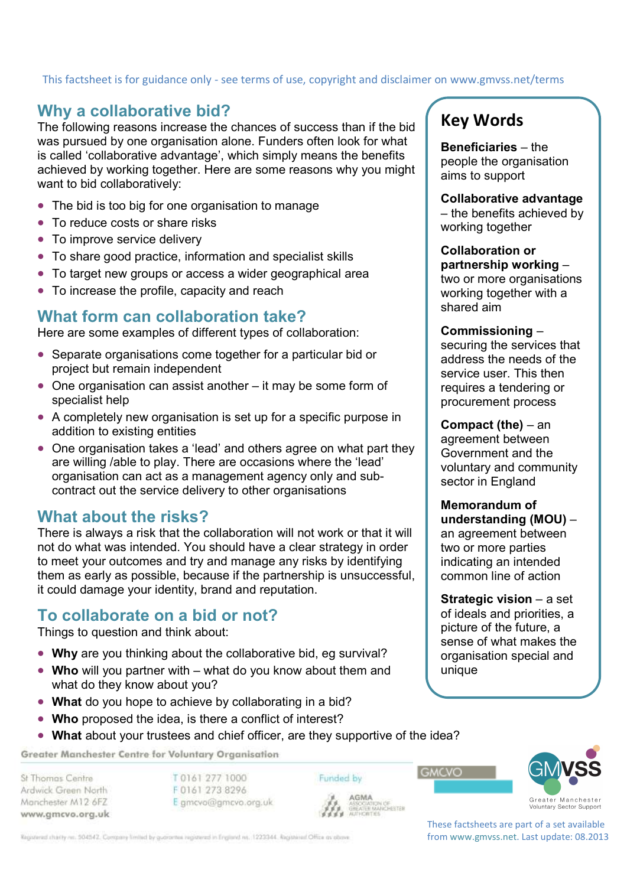# This factsheet is for guidance only - see terms of use, copyright and disclaimer on www.gmvss.net/terms

## **Why a collaborative bid?**

The following reasons increase the chances of success than if the bid was pursued by one organisation alone. Funders often look for what is called 'collaborative advantage', which simply means the benefits achieved by working together. Here are some reasons why you might want to bid collaboratively:

- The bid is too big for one organisation to manage
- To reduce costs or share risks
- To improve service delivery
- To share good practice, information and specialist skills
- To target new groups or access a wider geographical area
- To increase the profile, capacity and reach

## **What form can collaboration take?**

Here are some examples of different types of collaboration:

- Separate organisations come together for a particular bid or project but remain independent
- One organisation can assist another it may be some form of specialist help
- A completely new organisation is set up for a specific purpose in addition to existing entities
- One organisation takes a 'lead' and others agree on what part they are willing /able to play. There are occasions where the 'lead' organisation can act as a management agency only and subcontract out the service delivery to other organisations

## **What about the risks?**

There is always a risk that the collaboration will not work or that it will not do what was intended. You should have a clear strategy in order to meet your outcomes and try and manage any risks by identifying them as early as possible, because if the partnership is unsuccessful, it could damage your identity, brand and reputation.

## **To collaborate on a bid or not?**

Things to question and think about:

- **Why** are you thinking about the collaborative bid, eg survival?
- **Who** will you partner with what do you know about them and what do they know about you?
- **What** do you hope to achieve by collaborating in a bid?
- **Who** proposed the idea, is there a conflict of interest?
- **What** about your trustees and chief officer, are they supportive of the idea?

Greater Manchester Centre for Voluntary Organisation

St Thomas Centre Ardwick Green North Manchester M12 6FZ www.gmcvo.org.uk

T0161 277 1000 F0161 273 8296 E gmcvo@gmcvo.org.uk Funded by **AGMA** 

Registered charity no. 504542. Company limited by guarantee registered in England no. 1223344. Registered Office as obove.

# **Key Words**

**Beneficiaries** – the people the organisation aims to support

**Collaborative advantage** 

– the benefits achieved by working together

#### **Collaboration or**

**partnership working** – two or more organisations working together with a shared aim

#### **Commissioning** –

securing the services that address the needs of the service user. This then requires a tendering or procurement process

#### **Compact (the)** – an

agreement between Government and the voluntary and community sector in England

#### **Memorandum of**

**understanding (MOU)** – an agreement between two or more parties indicating an intended common line of action

**Strategic vision** – a set of ideals and priorities, a picture of the future, a sense of what makes the organisation special and unique



These factsheets are part of a set available from www.gmvss.net. Last update: 08.2013

**GMCVO**